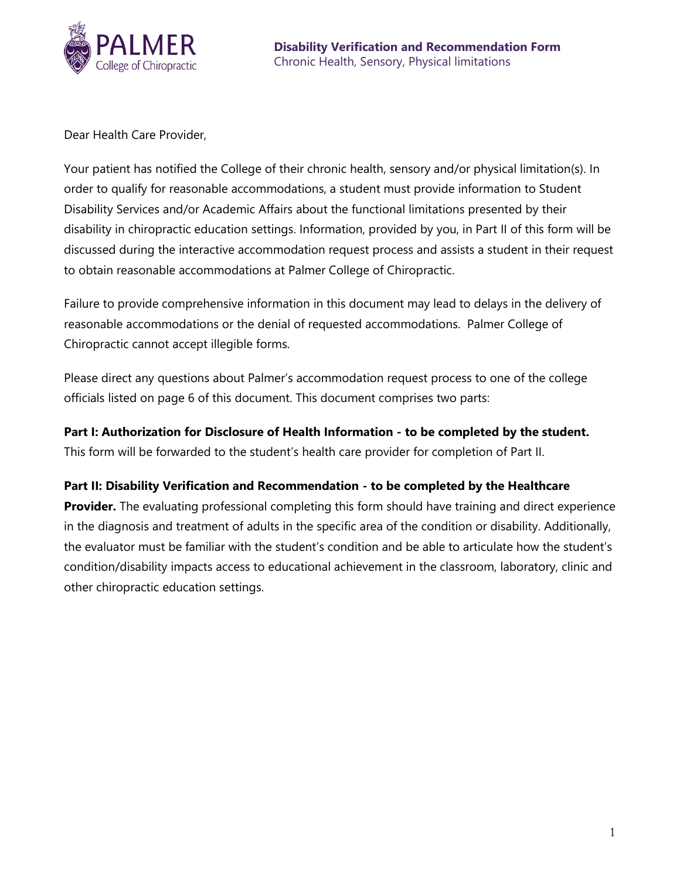

Dear Health Care Provider,

Your patient has notified the College of their chronic health, sensory and/or physical limitation(s). In order to qualify for reasonable accommodations, a student must provide information to Student Disability Services and/or Academic Affairs about the functional limitations presented by their disability in chiropractic education settings. Information, provided by you, in Part II of this form will be discussed during the interactive accommodation request process and assists a student in their request to obtain reasonable accommodations at Palmer College of Chiropractic.

Failure to provide comprehensive information in this document may lead to delays in the delivery of reasonable accommodations or the denial of requested accommodations. Palmer College of Chiropractic cannot accept illegible forms.

Please direct any questions about Palmer's accommodation request process to one of the college officials listed on page 6 of this document. This document comprises two parts:

**Part I: Authorization for Disclosure of Health Information - to be completed by the student.** This form will be forwarded to the student's health care provider for completion of Part II.

## **Part II: Disability Verification and Recommendation - to be completed by the Healthcare**

**Provider.** The evaluating professional completing this form should have training and direct experience in the diagnosis and treatment of adults in the specific area of the condition or disability. Additionally, the evaluator must be familiar with the student's condition and be able to articulate how the student's condition/disability impacts access to educational achievement in the classroom, laboratory, clinic and other chiropractic education settings.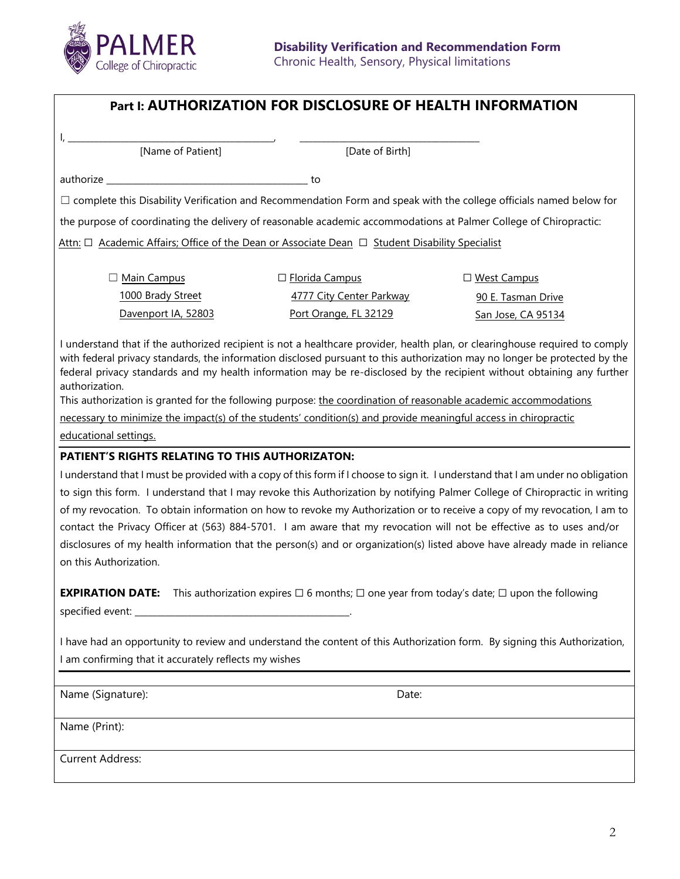

| [Name of Patient]                                                                                                                                                                                                                                                                                                                                                                                                                                                                                                                                                                                                                            | [Date of Birth]          |                    |
|----------------------------------------------------------------------------------------------------------------------------------------------------------------------------------------------------------------------------------------------------------------------------------------------------------------------------------------------------------------------------------------------------------------------------------------------------------------------------------------------------------------------------------------------------------------------------------------------------------------------------------------------|--------------------------|--------------------|
|                                                                                                                                                                                                                                                                                                                                                                                                                                                                                                                                                                                                                                              |                          |                    |
|                                                                                                                                                                                                                                                                                                                                                                                                                                                                                                                                                                                                                                              | to                       |                    |
| $\Box$ complete this Disability Verification and Recommendation Form and speak with the college officials named below for                                                                                                                                                                                                                                                                                                                                                                                                                                                                                                                    |                          |                    |
| the purpose of coordinating the delivery of reasonable academic accommodations at Palmer College of Chiropractic:                                                                                                                                                                                                                                                                                                                                                                                                                                                                                                                            |                          |                    |
| Attn: □ Academic Affairs; Office of the Dean or Associate Dean □ Student Disability Specialist                                                                                                                                                                                                                                                                                                                                                                                                                                                                                                                                               |                          |                    |
| □ Main Campus                                                                                                                                                                                                                                                                                                                                                                                                                                                                                                                                                                                                                                | □ Florida Campus         | □ West Campus      |
| 1000 Brady Street                                                                                                                                                                                                                                                                                                                                                                                                                                                                                                                                                                                                                            | 4777 City Center Parkway | 90 E. Tasman Drive |
| Davenport IA, 52803                                                                                                                                                                                                                                                                                                                                                                                                                                                                                                                                                                                                                          | Port Orange, FL 32129    | San Jose, CA 95134 |
| I understand that if the authorized recipient is not a healthcare provider, health plan, or clearinghouse required to comply<br>with federal privacy standards, the information disclosed pursuant to this authorization may no longer be protected by the<br>federal privacy standards and my health information may be re-disclosed by the recipient without obtaining any further<br>authorization.<br>This authorization is granted for the following purpose: the coordination of reasonable academic accommodations<br>necessary to minimize the impact(s) of the students' condition(s) and provide meaningful access in chiropractic |                          |                    |
| educational settings.                                                                                                                                                                                                                                                                                                                                                                                                                                                                                                                                                                                                                        |                          |                    |
| PATIENT'S RIGHTS RELATING TO THIS AUTHORIZATON:                                                                                                                                                                                                                                                                                                                                                                                                                                                                                                                                                                                              |                          |                    |
| I understand that I must be provided with a copy of this form if I choose to sign it. I understand that I am under no obligation                                                                                                                                                                                                                                                                                                                                                                                                                                                                                                             |                          |                    |
| to sign this form. I understand that I may revoke this Authorization by notifying Palmer College of Chiropractic in writing                                                                                                                                                                                                                                                                                                                                                                                                                                                                                                                  |                          |                    |
| of my revocation. To obtain information on how to revoke my Authorization or to receive a copy of my revocation, I am to<br>contact the Privacy Officer at (563) 884-5701. I am aware that my revocation will not be effective as to uses and/or                                                                                                                                                                                                                                                                                                                                                                                             |                          |                    |
| disclosures of my health information that the person(s) and or organization(s) listed above have already made in reliance                                                                                                                                                                                                                                                                                                                                                                                                                                                                                                                    |                          |                    |
| on this Authorization.                                                                                                                                                                                                                                                                                                                                                                                                                                                                                                                                                                                                                       |                          |                    |
| <b>EXPIRATION DATE:</b> This authorization expires $\Box$ 6 months; $\Box$ one year from today's date; $\Box$ upon the following                                                                                                                                                                                                                                                                                                                                                                                                                                                                                                             |                          |                    |
| I have had an opportunity to review and understand the content of this Authorization form. By signing this Authorization,<br>I am confirming that it accurately reflects my wishes                                                                                                                                                                                                                                                                                                                                                                                                                                                           |                          |                    |
| Name (Signature):                                                                                                                                                                                                                                                                                                                                                                                                                                                                                                                                                                                                                            | Date:                    |                    |
| Name (Print):                                                                                                                                                                                                                                                                                                                                                                                                                                                                                                                                                                                                                                |                          |                    |
| <b>Current Address:</b>                                                                                                                                                                                                                                                                                                                                                                                                                                                                                                                                                                                                                      |                          |                    |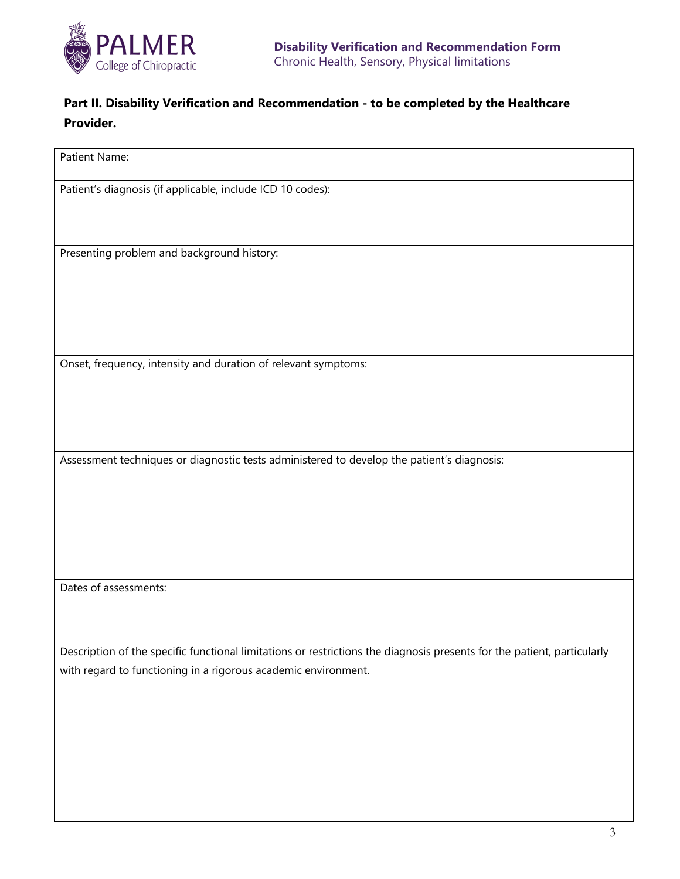

# **Part II. Disability Verification and Recommendation - to be completed by the Healthcare Provider.**

Patient Name:

Patient's diagnosis (if applicable, include ICD 10 codes):

Presenting problem and background history:

Onset, frequency, intensity and duration of relevant symptoms:

Assessment techniques or diagnostic tests administered to develop the patient's diagnosis:

Dates of assessments:

Description of the specific functional limitations or restrictions the diagnosis presents for the patient, particularly with regard to functioning in a rigorous academic environment.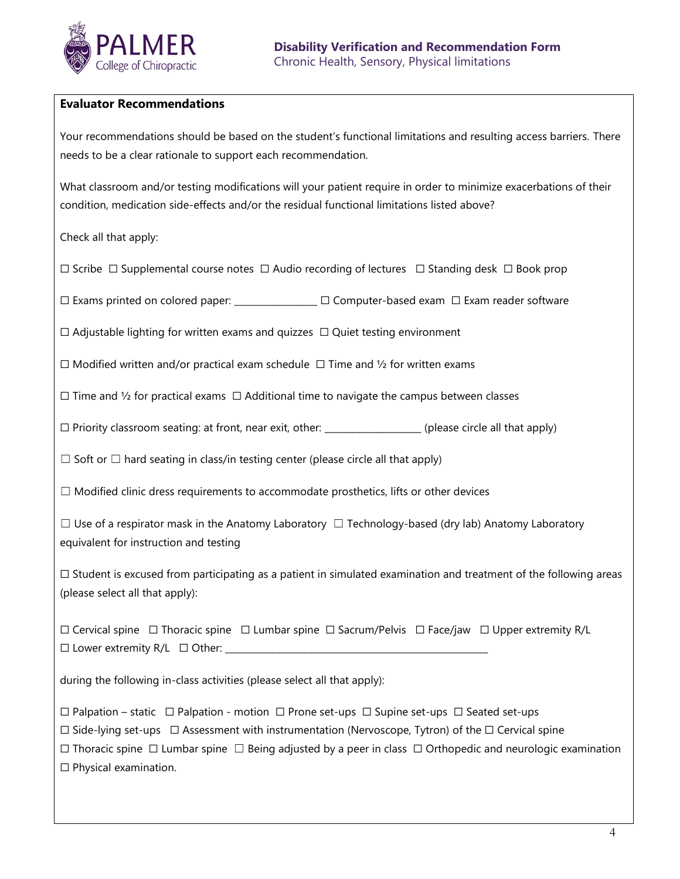

### **Evaluator Recommendations**

Your recommendations should be based on the student's functional limitations and resulting access barriers. There needs to be a clear rationale to support each recommendation.

What classroom and/or testing modifications will your patient require in order to minimize exacerbations of their condition, medication side-effects and/or the residual functional limitations listed above?

Check all that apply:

☐ Scribe ☐ Supplemental course notes ☐ Audio recording of lectures ☐ Standing desk ☐ Book prop

☐ Exams printed on colored paper: \_\_\_\_\_\_\_\_\_\_\_\_\_\_\_\_\_\_ ☐ Computer-based exam ☐ Exam reader software

 $\Box$  Adjustable lighting for written exams and quizzes  $\Box$  Quiet testing environment

☐ Modified written and/or practical exam schedule ☐ Time and ½ for written exams

 $\Box$  Time and 1/2 for practical exams  $\Box$  Additional time to navigate the campus between classes

☐ Priority classroom seating: at front, near exit, other: \_\_\_\_\_\_\_\_\_\_\_\_\_\_\_\_\_\_\_\_\_ (please circle all that apply)

 $\Box$  Soft or  $\Box$  hard seating in class/in testing center (please circle all that apply)

 $\Box$  Modified clinic dress requirements to accommodate prosthetics, lifts or other devices

 $\Box$  Use of a respirator mask in the Anatomy Laboratory  $\Box$  Technology-based (dry lab) Anatomy Laboratory equivalent for instruction and testing

 $\Box$  Student is excused from participating as a patient in simulated examination and treatment of the following areas (please select all that apply):

☐ Cervical spine ☐ Thoracic spine ☐ Lumbar spine ☐ Sacrum/Pelvis ☐ Face/jaw ☐ Upper extremity R/L  $\Box$  Lower extremity R/L  $\Box$  Other:

during the following in-class activities (please select all that apply):

☐ Palpation – static ☐ Palpation - motion ☐ Prone set-ups ☐ Supine set-ups ☐ Seated set-ups

☐ Side-lying set-ups ☐ Assessment with instrumentation (Nervoscope, Tytron) of the ☐ Cervical spine

☐ Thoracic spine ☐ Lumbar spine ☐ Being adjusted by a peer in class ☐ Orthopedic and neurologic examination ☐ Physical examination.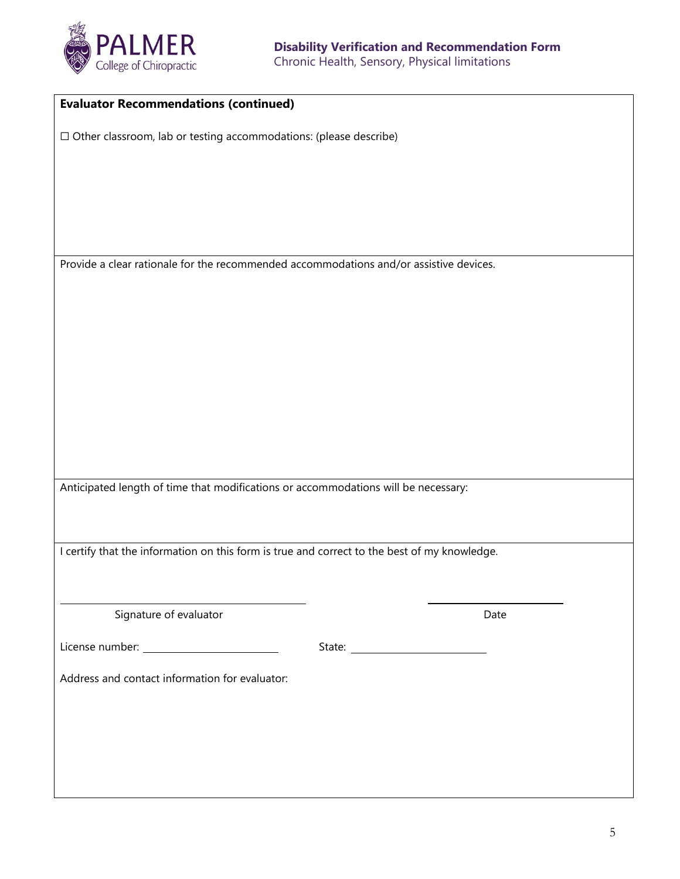

| <b>Evaluator Recommendations (continued)</b>                                                 |  |      |  |
|----------------------------------------------------------------------------------------------|--|------|--|
| $\Box$ Other classroom, lab or testing accommodations: (please describe)                     |  |      |  |
|                                                                                              |  |      |  |
|                                                                                              |  |      |  |
|                                                                                              |  |      |  |
|                                                                                              |  |      |  |
| Provide a clear rationale for the recommended accommodations and/or assistive devices.       |  |      |  |
|                                                                                              |  |      |  |
|                                                                                              |  |      |  |
|                                                                                              |  |      |  |
|                                                                                              |  |      |  |
|                                                                                              |  |      |  |
|                                                                                              |  |      |  |
|                                                                                              |  |      |  |
|                                                                                              |  |      |  |
| Anticipated length of time that modifications or accommodations will be necessary:           |  |      |  |
|                                                                                              |  |      |  |
|                                                                                              |  |      |  |
| I certify that the information on this form is true and correct to the best of my knowledge. |  |      |  |
|                                                                                              |  |      |  |
| Signature of evaluator                                                                       |  | Date |  |
|                                                                                              |  |      |  |
| Address and contact information for evaluator:                                               |  |      |  |
|                                                                                              |  |      |  |
|                                                                                              |  |      |  |
|                                                                                              |  |      |  |
|                                                                                              |  |      |  |
|                                                                                              |  |      |  |